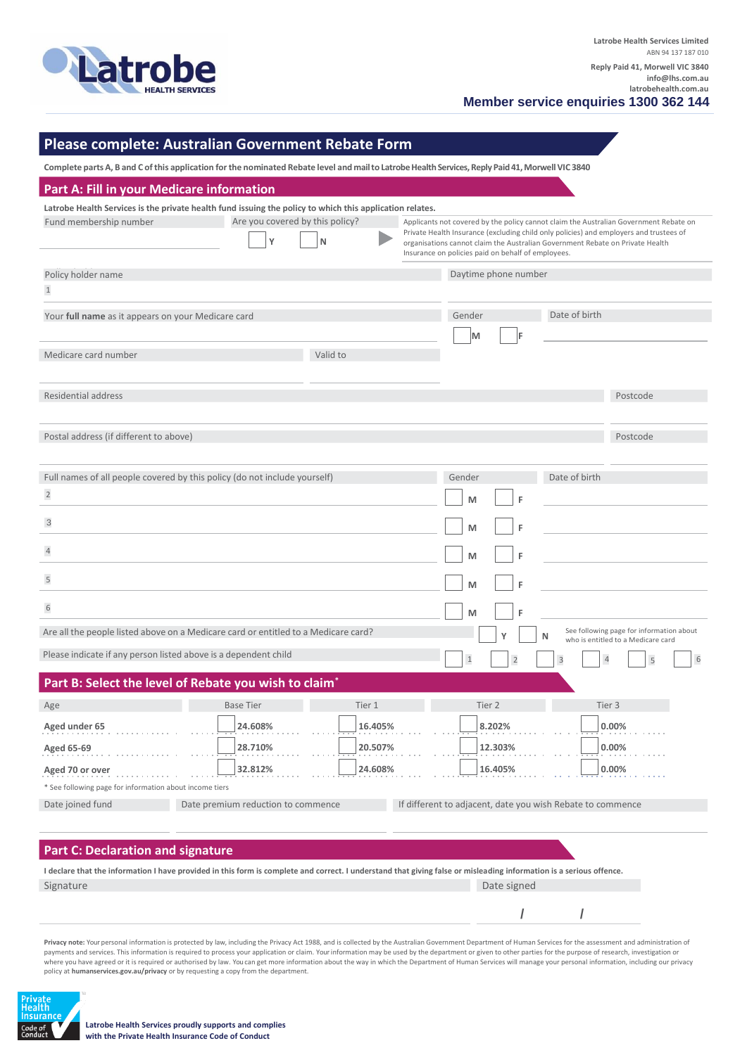

**Member service enquiries 1300 362 144**

# **Please complete: Australian Government Rebate Form**

Complete parts A, B and C of this application for the nominated Rebate level and mail to Latrobe Health Services, Reply Paid 41, Morwell VIC 3840

| Part A: Fill in your Medicare information                                 |                                                                                                                                                                     |                                 |                                                                                                                                                                                                                               |                                                                                       |  |  |
|---------------------------------------------------------------------------|---------------------------------------------------------------------------------------------------------------------------------------------------------------------|---------------------------------|-------------------------------------------------------------------------------------------------------------------------------------------------------------------------------------------------------------------------------|---------------------------------------------------------------------------------------|--|--|
|                                                                           | Latrobe Health Services is the private health fund issuing the policy to which this application relates.                                                            |                                 |                                                                                                                                                                                                                               |                                                                                       |  |  |
| Fund membership number                                                    |                                                                                                                                                                     | Are you covered by this policy? |                                                                                                                                                                                                                               | Applicants not covered by the policy cannot claim the Australian Government Rebate on |  |  |
|                                                                           | Y<br>N                                                                                                                                                              |                                 | Private Health Insurance (excluding child only policies) and employers and trustees of<br>organisations cannot claim the Australian Government Rebate on Private Health<br>Insurance on policies paid on behalf of employees. |                                                                                       |  |  |
| Policy holder name                                                        |                                                                                                                                                                     |                                 | Daytime phone number                                                                                                                                                                                                          |                                                                                       |  |  |
| $1\,$                                                                     |                                                                                                                                                                     |                                 |                                                                                                                                                                                                                               |                                                                                       |  |  |
| Your full name as it appears on your Medicare card                        |                                                                                                                                                                     |                                 | Gender                                                                                                                                                                                                                        | Date of birth                                                                         |  |  |
|                                                                           |                                                                                                                                                                     |                                 | M<br>F                                                                                                                                                                                                                        |                                                                                       |  |  |
| Medicare card number                                                      | Valid to                                                                                                                                                            |                                 |                                                                                                                                                                                                                               |                                                                                       |  |  |
|                                                                           |                                                                                                                                                                     |                                 |                                                                                                                                                                                                                               |                                                                                       |  |  |
| <b>Residential address</b>                                                |                                                                                                                                                                     |                                 |                                                                                                                                                                                                                               | Postcode                                                                              |  |  |
|                                                                           |                                                                                                                                                                     |                                 |                                                                                                                                                                                                                               |                                                                                       |  |  |
| Postal address (if different to above)                                    |                                                                                                                                                                     |                                 |                                                                                                                                                                                                                               | Postcode                                                                              |  |  |
|                                                                           |                                                                                                                                                                     |                                 |                                                                                                                                                                                                                               |                                                                                       |  |  |
| Full names of all people covered by this policy (do not include yourself) |                                                                                                                                                                     |                                 | Gender                                                                                                                                                                                                                        | Date of birth                                                                         |  |  |
| $\mathbf{2}$                                                              |                                                                                                                                                                     |                                 | F<br>M                                                                                                                                                                                                                        |                                                                                       |  |  |
| 3                                                                         |                                                                                                                                                                     |                                 | F<br>M                                                                                                                                                                                                                        |                                                                                       |  |  |
| $\overline{4}$                                                            |                                                                                                                                                                     |                                 | M<br>F                                                                                                                                                                                                                        |                                                                                       |  |  |
| $\sqrt{5}$                                                                |                                                                                                                                                                     |                                 | F<br>M                                                                                                                                                                                                                        |                                                                                       |  |  |
|                                                                           |                                                                                                                                                                     |                                 |                                                                                                                                                                                                                               |                                                                                       |  |  |
| $\sqrt{6}$                                                                |                                                                                                                                                                     |                                 | M                                                                                                                                                                                                                             |                                                                                       |  |  |
|                                                                           | Are all the people listed above on a Medicare card or entitled to a Medicare card?                                                                                  |                                 | ٧<br>N                                                                                                                                                                                                                        | See following page for information about<br>who is entitled to a Medicare card        |  |  |
| Please indicate if any person listed above is a dependent child           |                                                                                                                                                                     |                                 | $\mathbf{1}$<br>$\overline{\phantom{0}}$                                                                                                                                                                                      | 6                                                                                     |  |  |
|                                                                           | Part B: Select the level of Rebate you wish to claim*                                                                                                               |                                 |                                                                                                                                                                                                                               |                                                                                       |  |  |
| Age                                                                       | <b>Base Tier</b>                                                                                                                                                    | Tier 1                          | Tier 2                                                                                                                                                                                                                        | Tier 3                                                                                |  |  |
| Aged under 65                                                             | 24.608%                                                                                                                                                             | 16.405%                         | 8.202%                                                                                                                                                                                                                        | 0.00%                                                                                 |  |  |
| Aged 65-69                                                                | 28.710%                                                                                                                                                             | 20.507%                         | 12.303%                                                                                                                                                                                                                       | 0.00%                                                                                 |  |  |
| Aged 70 or over                                                           | 32.812%                                                                                                                                                             | 24.608%                         | 16.405%                                                                                                                                                                                                                       | 0.00%                                                                                 |  |  |
| * See following page for information about income tiers                   |                                                                                                                                                                     |                                 |                                                                                                                                                                                                                               |                                                                                       |  |  |
| Date joined fund                                                          | Date premium reduction to commence                                                                                                                                  |                                 | If different to adjacent, date you wish Rebate to commence                                                                                                                                                                    |                                                                                       |  |  |
|                                                                           |                                                                                                                                                                     |                                 |                                                                                                                                                                                                                               |                                                                                       |  |  |
| <b>Part C: Declaration and signature</b>                                  |                                                                                                                                                                     |                                 |                                                                                                                                                                                                                               |                                                                                       |  |  |
|                                                                           | I declare that the information I have provided in this form is complete and correct. I understand that giving false or misleading information is a serious offence. |                                 |                                                                                                                                                                                                                               |                                                                                       |  |  |
| Signature                                                                 |                                                                                                                                                                     |                                 | Date signed                                                                                                                                                                                                                   |                                                                                       |  |  |

Privacy note: Your personal information is protected by law, including the Privacy Act 1988, and is collected by the Australian Government Department of Human Services for the assessment and administration of payments and services. This information is required to process your application or claim. Your information may be used by the department or given to other parties for the purpose of research, investigation or where you have agreed or it is required or authorised by law. You can get more information about the way in which the Department of Human Services will manage your personal information, including our privacy policy at **humanservices.gov.au/privacy** or by requesting a copy from the department.

**/ /**